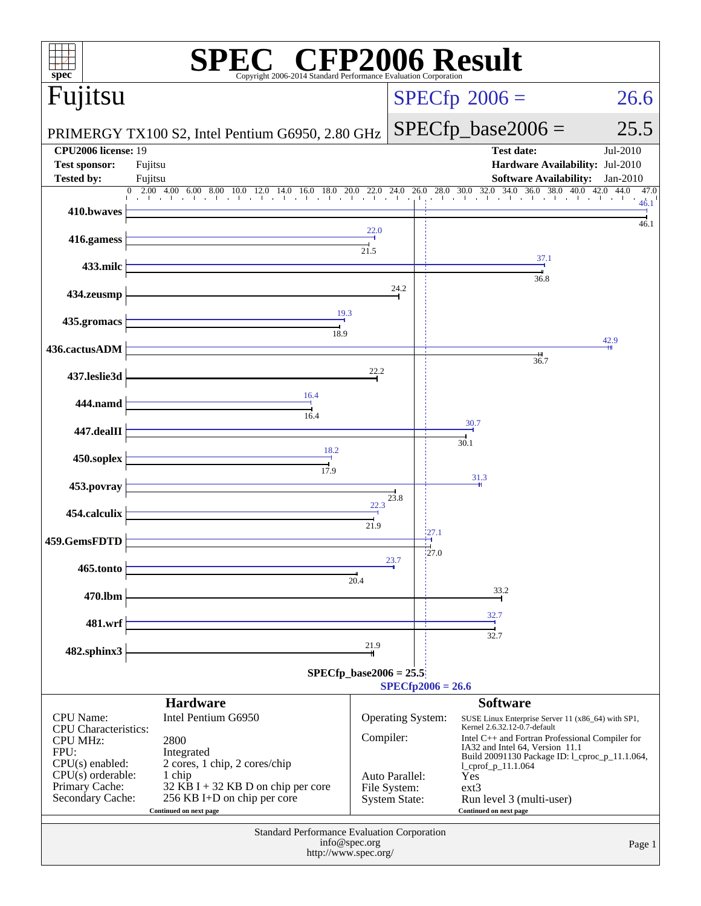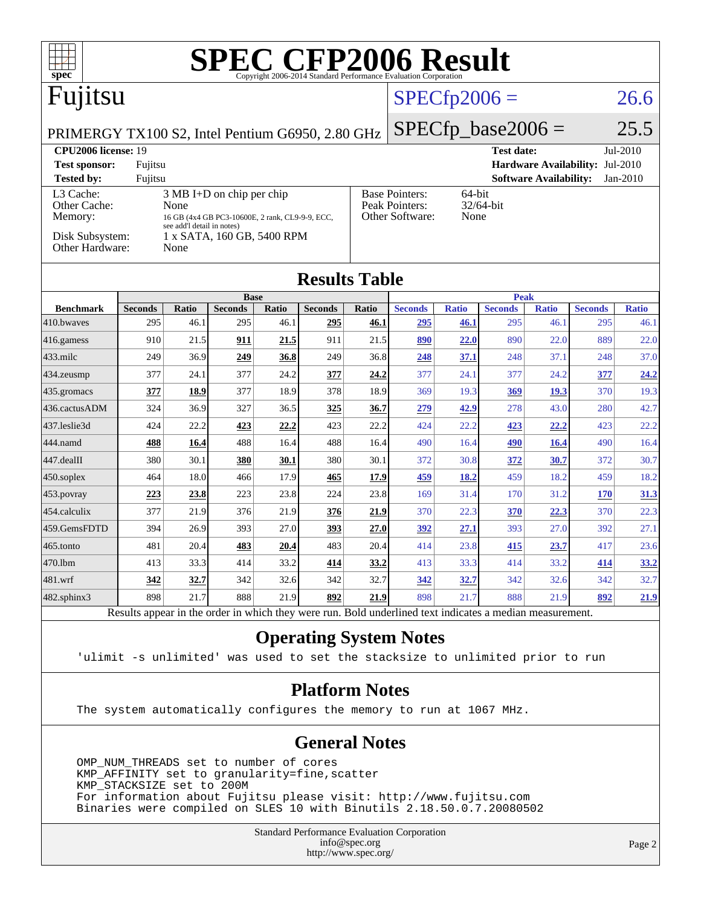| <b>SPEC CFP2006 Result</b><br>spec®<br>Copyright 2006-2014 Standard Performance Evaluation Corporation |            |                      |            |                             |                                                                                             |                |                              |                                 |                         |                             |              |  |
|--------------------------------------------------------------------------------------------------------|------------|----------------------|------------|-----------------------------|---------------------------------------------------------------------------------------------|----------------|------------------------------|---------------------------------|-------------------------|-----------------------------|--------------|--|
| Fujitsu<br>$SPECfp2006 =$                                                                              |            |                      |            |                             |                                                                                             |                |                              |                                 |                         |                             | 26.6         |  |
| PRIMERGY TX100 S2, Intel Pentium G6950, 2.80 GHz                                                       |            |                      |            |                             |                                                                                             |                | $SPECfp\_base2006 =$<br>25.5 |                                 |                         |                             |              |  |
| CPU2006 license: 19<br>Jul-2010<br><b>Test date:</b>                                                   |            |                      |            |                             |                                                                                             |                |                              |                                 |                         |                             |              |  |
| Hardware Availability: Jul-2010<br>Fujitsu<br><b>Test sponsor:</b>                                     |            |                      |            |                             |                                                                                             |                |                              |                                 |                         |                             |              |  |
| <b>Software Availability:</b><br><b>Tested by:</b><br>Fujitsu<br>$Jan-2010$                            |            |                      |            |                             |                                                                                             |                |                              |                                 |                         |                             |              |  |
| L3 Cache:<br>3 MB I+D on chip per chip                                                                 |            |                      |            |                             | <b>Base Pointers:</b><br>64-bit                                                             |                |                              |                                 |                         |                             |              |  |
| Other Cache:<br>Memory:                                                                                |            |                      |            |                             |                                                                                             | None           |                              |                                 |                         |                             |              |  |
| see add'l detail in notes)                                                                             |            |                      |            |                             |                                                                                             |                |                              |                                 |                         |                             |              |  |
| Disk Subsystem:<br>Other Hardware:<br>None                                                             |            |                      |            |                             |                                                                                             |                |                              |                                 |                         |                             |              |  |
| <b>Results Table</b>                                                                                   |            |                      |            |                             |                                                                                             |                |                              |                                 |                         |                             |              |  |
|                                                                                                        |            |                      |            |                             |                                                                                             |                |                              |                                 |                         |                             |              |  |
| <b>Seconds</b>                                                                                         | Ratio      | <b>Seconds</b>       | Ratio      | <b>Seconds</b>              | <b>Ratio</b>                                                                                | <b>Seconds</b> | <b>Ratio</b>                 | <b>Seconds</b>                  | <b>Ratio</b>            | <b>Seconds</b>              | <b>Ratio</b> |  |
|                                                                                                        |            |                      |            |                             |                                                                                             |                |                              |                                 |                         |                             | 46.1         |  |
|                                                                                                        |            |                      |            |                             |                                                                                             |                |                              |                                 |                         |                             | 22.0         |  |
| 249                                                                                                    | 36.9       | 249                  | 36.8       | 249                         | 36.8                                                                                        | 248            | 37.1                         | 248                             | 37.1                    | 248                         | 37.0         |  |
| 377                                                                                                    | 24.1       | 377                  | 24.2       | 377                         | 24.2                                                                                        | 377            | 24.1                         | 377                             | 24.2                    | 377                         | 24.2         |  |
| 377                                                                                                    | 18.9       | 377                  | 18.9       | 378                         | 18.9                                                                                        | 369            | 19.3                         | 369                             | 19.3                    | 370                         | 19.3         |  |
| 324                                                                                                    | 36.9       | 327                  | 36.5       | 325                         | 36.7                                                                                        | 279            | 42.9                         | 278                             | 43.0                    | 280                         | 42.7         |  |
| 424                                                                                                    | 22.2       | 423                  | 22.2       | 423                         | 22.2                                                                                        | 424            | 22.2                         | 423                             | 22.2                    | 423                         | 22.2         |  |
| 488                                                                                                    | 16.4       | 488                  | 16.4       | 488                         | 16.4                                                                                        | 490            | 16.4                         | 490                             | 16.4                    | 490                         | 16.4         |  |
| 380                                                                                                    | 30.1       | 380                  | 30.1       | 380                         | 30.1                                                                                        | 372            | 30.8                         | 372                             | 30.7                    | 372                         | 30.7         |  |
| 464                                                                                                    | 18.0       | 466                  | 17.9       | 465                         | 17.9                                                                                        | 459            | 18.2                         | 459                             | 18.2                    | 459                         | 18.2         |  |
| 223                                                                                                    | 23.8       | 223                  | 23.8       | 224                         | 23.8                                                                                        | 169            | 31.4                         | 170                             | 31.2                    | <b>170</b>                  | 31.3         |  |
| 377                                                                                                    | 21.9       | 376                  | 21.9       | 376                         | 21.9                                                                                        | 370            | 22.3                         | 370                             | 22.3                    | 370                         | 22.3         |  |
| 394                                                                                                    | 26.9       | 393                  | 27.0       | 393                         | 27.0                                                                                        | 392            | 27.1                         | 393                             | 27.0                    | 392                         | 27.1         |  |
| 481                                                                                                    | 20.4       | 483                  | 20.4       | 483                         | 20.4                                                                                        | 414            | 23.8                         | 415                             | 23.7                    | 417                         | 23.6         |  |
| 413                                                                                                    | 33.3       | 414                  | 33.2       | 414                         | 33.2                                                                                        | 413            | 33.3                         | 414                             | 33.2                    | 414                         | 33.2         |  |
| 342                                                                                                    | 32.7       | 342                  | 32.6       | 342                         | 32.7                                                                                        | 342            | 32.7                         | 342                             | 32.6                    | 342                         | 32.7         |  |
| 898                                                                                                    | 21.7       | 888                  | 21.9       | 892                         | 21.9                                                                                        | 898            | 21.7                         | 888                             | 21.9                    | 892                         | 21.9         |  |
|                                                                                                        | 295<br>910 | None<br>46.1<br>21.5 | 295<br>911 | <b>Base</b><br>46.1<br>21.5 | 16 GB (4x4 GB PC3-10600E, 2 rank, CL9-9-9, ECC,<br>1 x SATA, 160 GB, 5400 RPM<br>295<br>911 | 46.1<br>21.5   | Peak Pointers:<br>295<br>890 | Other Software:<br>46.1<br>22.0 | 32/64-bit<br>295<br>890 | <b>Peak</b><br>46.1<br>22.0 | 295<br>889   |  |

Results appear in the [order in which they were run.](http://www.spec.org/auto/cpu2006/Docs/result-fields.html#RunOrder) Bold underlined text [indicates a median measurement.](http://www.spec.org/auto/cpu2006/Docs/result-fields.html#Median)

### **[Operating System Notes](http://www.spec.org/auto/cpu2006/Docs/result-fields.html#OperatingSystemNotes)**

'ulimit -s unlimited' was used to set the stacksize to unlimited prior to run

### **[Platform Notes](http://www.spec.org/auto/cpu2006/Docs/result-fields.html#PlatformNotes)**

The system automatically configures the memory to run at 1067 MHz.

### **[General Notes](http://www.spec.org/auto/cpu2006/Docs/result-fields.html#GeneralNotes)**

 OMP\_NUM\_THREADS set to number of cores KMP\_AFFINITY set to granularity=fine,scatter KMP\_STACKSIZE set to 200M For information about Fujitsu please visit: <http://www.fujitsu.com> Binaries were compiled on SLES 10 with Binutils 2.18.50.0.7.20080502

> Standard Performance Evaluation Corporation [info@spec.org](mailto:info@spec.org) <http://www.spec.org/>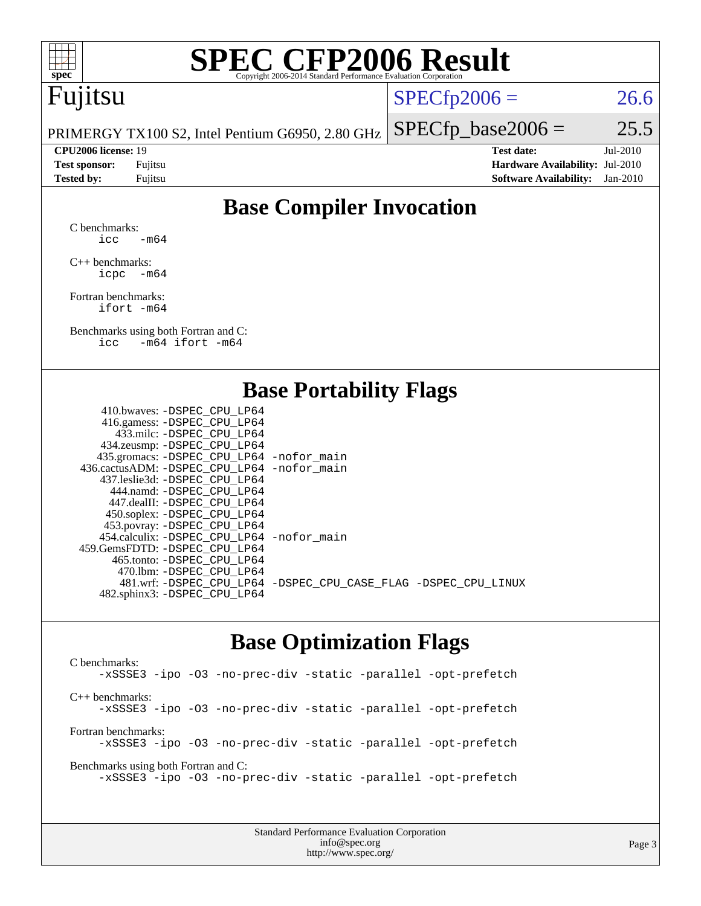

# **[SPEC CFP2006 Result](http://www.spec.org/auto/cpu2006/Docs/result-fields.html#SPECCFP2006Result)**

## Fujitsu

 $SPECTp2006 = 26.6$ 

PRIMERGY TX100 S2, Intel Pentium G6950, 2.80 GHz

**[CPU2006 license:](http://www.spec.org/auto/cpu2006/Docs/result-fields.html#CPU2006license)** 19 **[Test date:](http://www.spec.org/auto/cpu2006/Docs/result-fields.html#Testdate)** Jul-2010 **[Test sponsor:](http://www.spec.org/auto/cpu2006/Docs/result-fields.html#Testsponsor)** Fujitsu **[Hardware Availability:](http://www.spec.org/auto/cpu2006/Docs/result-fields.html#HardwareAvailability)** Jul-2010 **[Tested by:](http://www.spec.org/auto/cpu2006/Docs/result-fields.html#Testedby)** Fujitsu **[Software Availability:](http://www.spec.org/auto/cpu2006/Docs/result-fields.html#SoftwareAvailability)** Jan-2010

 $SPECTp\_base2006 = 25.5$ 

### **[Base Compiler Invocation](http://www.spec.org/auto/cpu2006/Docs/result-fields.html#BaseCompilerInvocation)**

[C benchmarks](http://www.spec.org/auto/cpu2006/Docs/result-fields.html#Cbenchmarks): icc  $-m64$ 

[C++ benchmarks:](http://www.spec.org/auto/cpu2006/Docs/result-fields.html#CXXbenchmarks) [icpc -m64](http://www.spec.org/cpu2006/results/res2010q3/cpu2006-20100812-12844.flags.html#user_CXXbase_intel_icpc_64bit_bedb90c1146cab66620883ef4f41a67e)

[Fortran benchmarks](http://www.spec.org/auto/cpu2006/Docs/result-fields.html#Fortranbenchmarks): [ifort -m64](http://www.spec.org/cpu2006/results/res2010q3/cpu2006-20100812-12844.flags.html#user_FCbase_intel_ifort_64bit_ee9d0fb25645d0210d97eb0527dcc06e)

[Benchmarks using both Fortran and C](http://www.spec.org/auto/cpu2006/Docs/result-fields.html#BenchmarksusingbothFortranandC): [icc -m64](http://www.spec.org/cpu2006/results/res2010q3/cpu2006-20100812-12844.flags.html#user_CC_FCbase_intel_icc_64bit_0b7121f5ab7cfabee23d88897260401c) [ifort -m64](http://www.spec.org/cpu2006/results/res2010q3/cpu2006-20100812-12844.flags.html#user_CC_FCbase_intel_ifort_64bit_ee9d0fb25645d0210d97eb0527dcc06e)

### **[Base Portability Flags](http://www.spec.org/auto/cpu2006/Docs/result-fields.html#BasePortabilityFlags)**

| 410.bwaves: -DSPEC CPU LP64                  |                                                                |
|----------------------------------------------|----------------------------------------------------------------|
| 416.gamess: -DSPEC_CPU_LP64                  |                                                                |
| 433.milc: -DSPEC CPU LP64                    |                                                                |
| 434.zeusmp: -DSPEC_CPU_LP64                  |                                                                |
| 435.gromacs: -DSPEC_CPU_LP64 -nofor_main     |                                                                |
| 436.cactusADM: - DSPEC CPU LP64 - nofor main |                                                                |
| 437.leslie3d: -DSPEC CPU LP64                |                                                                |
| 444.namd: - DSPEC CPU LP64                   |                                                                |
| 447.dealII: -DSPEC CPU LP64                  |                                                                |
| 450.soplex: -DSPEC_CPU_LP64                  |                                                                |
| 453.povray: -DSPEC_CPU_LP64                  |                                                                |
| 454.calculix: -DSPEC CPU LP64 -nofor main    |                                                                |
| 459.GemsFDTD: -DSPEC CPU LP64                |                                                                |
| 465.tonto: - DSPEC CPU LP64                  |                                                                |
| 470.1bm: - DSPEC CPU LP64                    |                                                                |
|                                              | 481.wrf: -DSPEC CPU_LP64 -DSPEC_CPU_CASE_FLAG -DSPEC_CPU_LINUX |
| 482.sphinx3: -DSPEC_CPU_LP64                 |                                                                |
|                                              |                                                                |

### **[Base Optimization Flags](http://www.spec.org/auto/cpu2006/Docs/result-fields.html#BaseOptimizationFlags)**

[C benchmarks](http://www.spec.org/auto/cpu2006/Docs/result-fields.html#Cbenchmarks): [-xSSSE3](http://www.spec.org/cpu2006/results/res2010q3/cpu2006-20100812-12844.flags.html#user_CCbase_f-xSSSE3) [-ipo](http://www.spec.org/cpu2006/results/res2010q3/cpu2006-20100812-12844.flags.html#user_CCbase_f-ipo) [-O3](http://www.spec.org/cpu2006/results/res2010q3/cpu2006-20100812-12844.flags.html#user_CCbase_f-O3) [-no-prec-div](http://www.spec.org/cpu2006/results/res2010q3/cpu2006-20100812-12844.flags.html#user_CCbase_f-no-prec-div) [-static](http://www.spec.org/cpu2006/results/res2010q3/cpu2006-20100812-12844.flags.html#user_CCbase_f-static) [-parallel](http://www.spec.org/cpu2006/results/res2010q3/cpu2006-20100812-12844.flags.html#user_CCbase_f-parallel) [-opt-prefetch](http://www.spec.org/cpu2006/results/res2010q3/cpu2006-20100812-12844.flags.html#user_CCbase_f-opt-prefetch) [C++ benchmarks:](http://www.spec.org/auto/cpu2006/Docs/result-fields.html#CXXbenchmarks) [-xSSSE3](http://www.spec.org/cpu2006/results/res2010q3/cpu2006-20100812-12844.flags.html#user_CXXbase_f-xSSSE3) [-ipo](http://www.spec.org/cpu2006/results/res2010q3/cpu2006-20100812-12844.flags.html#user_CXXbase_f-ipo) [-O3](http://www.spec.org/cpu2006/results/res2010q3/cpu2006-20100812-12844.flags.html#user_CXXbase_f-O3) [-no-prec-div](http://www.spec.org/cpu2006/results/res2010q3/cpu2006-20100812-12844.flags.html#user_CXXbase_f-no-prec-div) [-static](http://www.spec.org/cpu2006/results/res2010q3/cpu2006-20100812-12844.flags.html#user_CXXbase_f-static) [-parallel](http://www.spec.org/cpu2006/results/res2010q3/cpu2006-20100812-12844.flags.html#user_CXXbase_f-parallel) [-opt-prefetch](http://www.spec.org/cpu2006/results/res2010q3/cpu2006-20100812-12844.flags.html#user_CXXbase_f-opt-prefetch) [Fortran benchmarks](http://www.spec.org/auto/cpu2006/Docs/result-fields.html#Fortranbenchmarks): [-xSSSE3](http://www.spec.org/cpu2006/results/res2010q3/cpu2006-20100812-12844.flags.html#user_FCbase_f-xSSSE3) [-ipo](http://www.spec.org/cpu2006/results/res2010q3/cpu2006-20100812-12844.flags.html#user_FCbase_f-ipo) [-O3](http://www.spec.org/cpu2006/results/res2010q3/cpu2006-20100812-12844.flags.html#user_FCbase_f-O3) [-no-prec-div](http://www.spec.org/cpu2006/results/res2010q3/cpu2006-20100812-12844.flags.html#user_FCbase_f-no-prec-div) [-static](http://www.spec.org/cpu2006/results/res2010q3/cpu2006-20100812-12844.flags.html#user_FCbase_f-static) [-parallel](http://www.spec.org/cpu2006/results/res2010q3/cpu2006-20100812-12844.flags.html#user_FCbase_f-parallel) [-opt-prefetch](http://www.spec.org/cpu2006/results/res2010q3/cpu2006-20100812-12844.flags.html#user_FCbase_f-opt-prefetch) [Benchmarks using both Fortran and C](http://www.spec.org/auto/cpu2006/Docs/result-fields.html#BenchmarksusingbothFortranandC): [-xSSSE3](http://www.spec.org/cpu2006/results/res2010q3/cpu2006-20100812-12844.flags.html#user_CC_FCbase_f-xSSSE3) [-ipo](http://www.spec.org/cpu2006/results/res2010q3/cpu2006-20100812-12844.flags.html#user_CC_FCbase_f-ipo) [-O3](http://www.spec.org/cpu2006/results/res2010q3/cpu2006-20100812-12844.flags.html#user_CC_FCbase_f-O3) [-no-prec-div](http://www.spec.org/cpu2006/results/res2010q3/cpu2006-20100812-12844.flags.html#user_CC_FCbase_f-no-prec-div) [-static](http://www.spec.org/cpu2006/results/res2010q3/cpu2006-20100812-12844.flags.html#user_CC_FCbase_f-static) [-parallel](http://www.spec.org/cpu2006/results/res2010q3/cpu2006-20100812-12844.flags.html#user_CC_FCbase_f-parallel) [-opt-prefetch](http://www.spec.org/cpu2006/results/res2010q3/cpu2006-20100812-12844.flags.html#user_CC_FCbase_f-opt-prefetch)

> Standard Performance Evaluation Corporation [info@spec.org](mailto:info@spec.org) <http://www.spec.org/>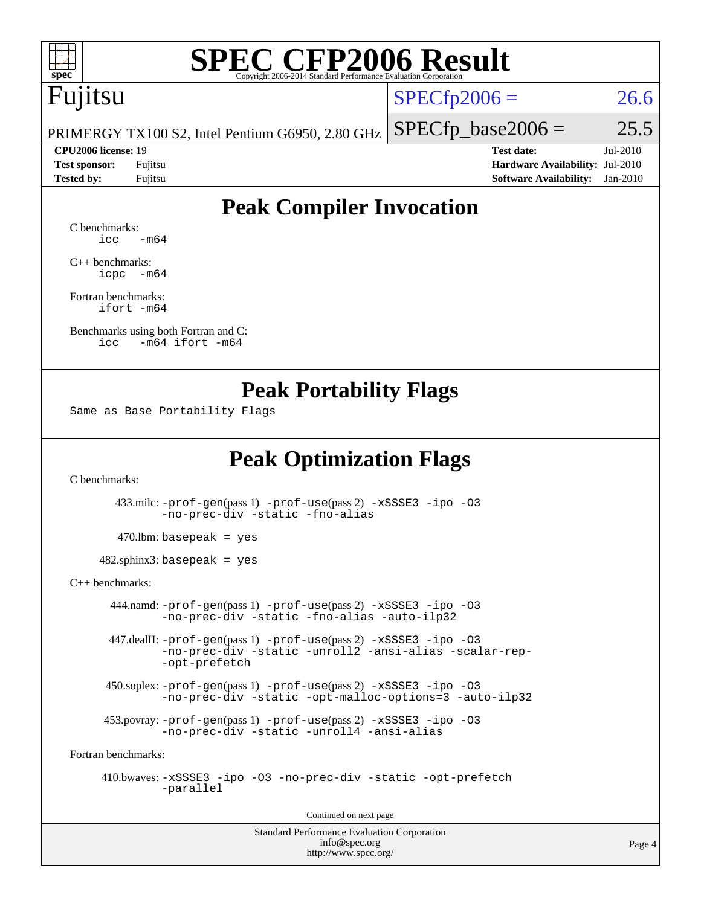

# **[SPEC CFP2006 Result](http://www.spec.org/auto/cpu2006/Docs/result-fields.html#SPECCFP2006Result)**

## Fujitsu

 $SPECTp2006 = 26.6$ 

PRIMERGY TX100 S2, Intel Pentium G6950, 2.80 GHz

**[CPU2006 license:](http://www.spec.org/auto/cpu2006/Docs/result-fields.html#CPU2006license)** 19 **[Test date:](http://www.spec.org/auto/cpu2006/Docs/result-fields.html#Testdate)** Jul-2010 **[Test sponsor:](http://www.spec.org/auto/cpu2006/Docs/result-fields.html#Testsponsor)** Fujitsu **[Hardware Availability:](http://www.spec.org/auto/cpu2006/Docs/result-fields.html#HardwareAvailability)** Jul-2010 **[Tested by:](http://www.spec.org/auto/cpu2006/Docs/result-fields.html#Testedby)** Fujitsu **[Software Availability:](http://www.spec.org/auto/cpu2006/Docs/result-fields.html#SoftwareAvailability)** Jan-2010

 $SPECTp\_base2006 = 25.5$ 

### **[Peak Compiler Invocation](http://www.spec.org/auto/cpu2006/Docs/result-fields.html#PeakCompilerInvocation)**

[C benchmarks](http://www.spec.org/auto/cpu2006/Docs/result-fields.html#Cbenchmarks):  $\text{icc}$   $-\text{m64}$ 

[C++ benchmarks:](http://www.spec.org/auto/cpu2006/Docs/result-fields.html#CXXbenchmarks) [icpc -m64](http://www.spec.org/cpu2006/results/res2010q3/cpu2006-20100812-12844.flags.html#user_CXXpeak_intel_icpc_64bit_bedb90c1146cab66620883ef4f41a67e)

[Fortran benchmarks](http://www.spec.org/auto/cpu2006/Docs/result-fields.html#Fortranbenchmarks): [ifort -m64](http://www.spec.org/cpu2006/results/res2010q3/cpu2006-20100812-12844.flags.html#user_FCpeak_intel_ifort_64bit_ee9d0fb25645d0210d97eb0527dcc06e)

[Benchmarks using both Fortran and C](http://www.spec.org/auto/cpu2006/Docs/result-fields.html#BenchmarksusingbothFortranandC): [icc -m64](http://www.spec.org/cpu2006/results/res2010q3/cpu2006-20100812-12844.flags.html#user_CC_FCpeak_intel_icc_64bit_0b7121f5ab7cfabee23d88897260401c) [ifort -m64](http://www.spec.org/cpu2006/results/res2010q3/cpu2006-20100812-12844.flags.html#user_CC_FCpeak_intel_ifort_64bit_ee9d0fb25645d0210d97eb0527dcc06e)

### **[Peak Portability Flags](http://www.spec.org/auto/cpu2006/Docs/result-fields.html#PeakPortabilityFlags)**

Same as Base Portability Flags

### **[Peak Optimization Flags](http://www.spec.org/auto/cpu2006/Docs/result-fields.html#PeakOptimizationFlags)**

[C benchmarks](http://www.spec.org/auto/cpu2006/Docs/result-fields.html#Cbenchmarks):

 433.milc: [-prof-gen](http://www.spec.org/cpu2006/results/res2010q3/cpu2006-20100812-12844.flags.html#user_peakPASS1_CFLAGSPASS1_LDFLAGS433_milc_prof_gen_e43856698f6ca7b7e442dfd80e94a8fc)(pass 1) [-prof-use](http://www.spec.org/cpu2006/results/res2010q3/cpu2006-20100812-12844.flags.html#user_peakPASS2_CFLAGSPASS2_LDFLAGS433_milc_prof_use_bccf7792157ff70d64e32fe3e1250b55)(pass 2) [-xSSSE3](http://www.spec.org/cpu2006/results/res2010q3/cpu2006-20100812-12844.flags.html#user_peakOPTIMIZE433_milc_f-xSSSE3) [-ipo](http://www.spec.org/cpu2006/results/res2010q3/cpu2006-20100812-12844.flags.html#user_peakOPTIMIZE433_milc_f-ipo) [-O3](http://www.spec.org/cpu2006/results/res2010q3/cpu2006-20100812-12844.flags.html#user_peakOPTIMIZE433_milc_f-O3) [-no-prec-div](http://www.spec.org/cpu2006/results/res2010q3/cpu2006-20100812-12844.flags.html#user_peakOPTIMIZE433_milc_f-no-prec-div) [-static](http://www.spec.org/cpu2006/results/res2010q3/cpu2006-20100812-12844.flags.html#user_peakOPTIMIZE433_milc_f-static) [-fno-alias](http://www.spec.org/cpu2006/results/res2010q3/cpu2006-20100812-12844.flags.html#user_peakOPTIMIZE433_milc_f-no-alias_694e77f6c5a51e658e82ccff53a9e63a)

 $470$ .lbm: basepeak = yes

482.sphinx3: basepeak = yes

[C++ benchmarks:](http://www.spec.org/auto/cpu2006/Docs/result-fields.html#CXXbenchmarks)

 444.namd: [-prof-gen](http://www.spec.org/cpu2006/results/res2010q3/cpu2006-20100812-12844.flags.html#user_peakPASS1_CXXFLAGSPASS1_LDFLAGS444_namd_prof_gen_e43856698f6ca7b7e442dfd80e94a8fc)(pass 1) [-prof-use](http://www.spec.org/cpu2006/results/res2010q3/cpu2006-20100812-12844.flags.html#user_peakPASS2_CXXFLAGSPASS2_LDFLAGS444_namd_prof_use_bccf7792157ff70d64e32fe3e1250b55)(pass 2) [-xSSSE3](http://www.spec.org/cpu2006/results/res2010q3/cpu2006-20100812-12844.flags.html#user_peakCXXOPTIMIZEOPTIMIZE444_namd_f-xSSSE3) [-ipo](http://www.spec.org/cpu2006/results/res2010q3/cpu2006-20100812-12844.flags.html#user_peakCXXOPTIMIZEOPTIMIZE444_namd_f-ipo) [-O3](http://www.spec.org/cpu2006/results/res2010q3/cpu2006-20100812-12844.flags.html#user_peakCXXOPTIMIZEOPTIMIZE444_namd_f-O3) [-no-prec-div](http://www.spec.org/cpu2006/results/res2010q3/cpu2006-20100812-12844.flags.html#user_peakCXXOPTIMIZEOPTIMIZE444_namd_f-no-prec-div) [-static](http://www.spec.org/cpu2006/results/res2010q3/cpu2006-20100812-12844.flags.html#user_peakCXXOPTIMIZEOPTIMIZE444_namd_f-static) [-fno-alias](http://www.spec.org/cpu2006/results/res2010q3/cpu2006-20100812-12844.flags.html#user_peakCXXOPTIMIZE444_namd_f-no-alias_694e77f6c5a51e658e82ccff53a9e63a) [-auto-ilp32](http://www.spec.org/cpu2006/results/res2010q3/cpu2006-20100812-12844.flags.html#user_peakCXXOPTIMIZE444_namd_f-auto-ilp32)

 447.dealII: [-prof-gen](http://www.spec.org/cpu2006/results/res2010q3/cpu2006-20100812-12844.flags.html#user_peakPASS1_CXXFLAGSPASS1_LDFLAGS447_dealII_prof_gen_e43856698f6ca7b7e442dfd80e94a8fc)(pass 1) [-prof-use](http://www.spec.org/cpu2006/results/res2010q3/cpu2006-20100812-12844.flags.html#user_peakPASS2_CXXFLAGSPASS2_LDFLAGS447_dealII_prof_use_bccf7792157ff70d64e32fe3e1250b55)(pass 2) [-xSSSE3](http://www.spec.org/cpu2006/results/res2010q3/cpu2006-20100812-12844.flags.html#user_peakCXXOPTIMIZEOPTIMIZE447_dealII_f-xSSSE3) [-ipo](http://www.spec.org/cpu2006/results/res2010q3/cpu2006-20100812-12844.flags.html#user_peakCXXOPTIMIZEOPTIMIZE447_dealII_f-ipo) [-O3](http://www.spec.org/cpu2006/results/res2010q3/cpu2006-20100812-12844.flags.html#user_peakCXXOPTIMIZEOPTIMIZE447_dealII_f-O3) [-no-prec-div](http://www.spec.org/cpu2006/results/res2010q3/cpu2006-20100812-12844.flags.html#user_peakCXXOPTIMIZEOPTIMIZE447_dealII_f-no-prec-div) [-static](http://www.spec.org/cpu2006/results/res2010q3/cpu2006-20100812-12844.flags.html#user_peakCXXOPTIMIZEOPTIMIZE447_dealII_f-static) [-unroll2](http://www.spec.org/cpu2006/results/res2010q3/cpu2006-20100812-12844.flags.html#user_peakCXXOPTIMIZE447_dealII_f-unroll_784dae83bebfb236979b41d2422d7ec2) [-ansi-alias](http://www.spec.org/cpu2006/results/res2010q3/cpu2006-20100812-12844.flags.html#user_peakCXXOPTIMIZE447_dealII_f-ansi-alias) [-scalar-rep-](http://www.spec.org/cpu2006/results/res2010q3/cpu2006-20100812-12844.flags.html#user_peakCXXOPTIMIZE447_dealII_f-disablescalarrep_abbcad04450fb118e4809c81d83c8a1d) [-opt-prefetch](http://www.spec.org/cpu2006/results/res2010q3/cpu2006-20100812-12844.flags.html#user_peakCXXOPTIMIZE447_dealII_f-opt-prefetch)

 450.soplex: [-prof-gen](http://www.spec.org/cpu2006/results/res2010q3/cpu2006-20100812-12844.flags.html#user_peakPASS1_CXXFLAGSPASS1_LDFLAGS450_soplex_prof_gen_e43856698f6ca7b7e442dfd80e94a8fc)(pass 1) [-prof-use](http://www.spec.org/cpu2006/results/res2010q3/cpu2006-20100812-12844.flags.html#user_peakPASS2_CXXFLAGSPASS2_LDFLAGS450_soplex_prof_use_bccf7792157ff70d64e32fe3e1250b55)(pass 2) [-xSSSE3](http://www.spec.org/cpu2006/results/res2010q3/cpu2006-20100812-12844.flags.html#user_peakOPTIMIZE450_soplex_f-xSSSE3) [-ipo](http://www.spec.org/cpu2006/results/res2010q3/cpu2006-20100812-12844.flags.html#user_peakOPTIMIZE450_soplex_f-ipo) [-O3](http://www.spec.org/cpu2006/results/res2010q3/cpu2006-20100812-12844.flags.html#user_peakOPTIMIZE450_soplex_f-O3) [-no-prec-div](http://www.spec.org/cpu2006/results/res2010q3/cpu2006-20100812-12844.flags.html#user_peakOPTIMIZE450_soplex_f-no-prec-div) [-static](http://www.spec.org/cpu2006/results/res2010q3/cpu2006-20100812-12844.flags.html#user_peakOPTIMIZE450_soplex_f-static) [-opt-malloc-options=3](http://www.spec.org/cpu2006/results/res2010q3/cpu2006-20100812-12844.flags.html#user_peakOPTIMIZE450_soplex_f-opt-malloc-options_13ab9b803cf986b4ee62f0a5998c2238) [-auto-ilp32](http://www.spec.org/cpu2006/results/res2010q3/cpu2006-20100812-12844.flags.html#user_peakCXXOPTIMIZE450_soplex_f-auto-ilp32)

 453.povray: [-prof-gen](http://www.spec.org/cpu2006/results/res2010q3/cpu2006-20100812-12844.flags.html#user_peakPASS1_CXXFLAGSPASS1_LDFLAGS453_povray_prof_gen_e43856698f6ca7b7e442dfd80e94a8fc)(pass 1) [-prof-use](http://www.spec.org/cpu2006/results/res2010q3/cpu2006-20100812-12844.flags.html#user_peakPASS2_CXXFLAGSPASS2_LDFLAGS453_povray_prof_use_bccf7792157ff70d64e32fe3e1250b55)(pass 2) [-xSSSE3](http://www.spec.org/cpu2006/results/res2010q3/cpu2006-20100812-12844.flags.html#user_peakCXXOPTIMIZEOPTIMIZE453_povray_f-xSSSE3) [-ipo](http://www.spec.org/cpu2006/results/res2010q3/cpu2006-20100812-12844.flags.html#user_peakCXXOPTIMIZEOPTIMIZE453_povray_f-ipo) [-O3](http://www.spec.org/cpu2006/results/res2010q3/cpu2006-20100812-12844.flags.html#user_peakCXXOPTIMIZEOPTIMIZE453_povray_f-O3) [-no-prec-div](http://www.spec.org/cpu2006/results/res2010q3/cpu2006-20100812-12844.flags.html#user_peakCXXOPTIMIZEOPTIMIZE453_povray_f-no-prec-div) [-static](http://www.spec.org/cpu2006/results/res2010q3/cpu2006-20100812-12844.flags.html#user_peakCXXOPTIMIZEOPTIMIZE453_povray_f-static) [-unroll4](http://www.spec.org/cpu2006/results/res2010q3/cpu2006-20100812-12844.flags.html#user_peakCXXOPTIMIZE453_povray_f-unroll_4e5e4ed65b7fd20bdcd365bec371b81f) [-ansi-alias](http://www.spec.org/cpu2006/results/res2010q3/cpu2006-20100812-12844.flags.html#user_peakCXXOPTIMIZE453_povray_f-ansi-alias)

[Fortran benchmarks](http://www.spec.org/auto/cpu2006/Docs/result-fields.html#Fortranbenchmarks):

 410.bwaves: [-xSSSE3](http://www.spec.org/cpu2006/results/res2010q3/cpu2006-20100812-12844.flags.html#user_peakOPTIMIZE410_bwaves_f-xSSSE3) [-ipo](http://www.spec.org/cpu2006/results/res2010q3/cpu2006-20100812-12844.flags.html#user_peakOPTIMIZE410_bwaves_f-ipo) [-O3](http://www.spec.org/cpu2006/results/res2010q3/cpu2006-20100812-12844.flags.html#user_peakOPTIMIZE410_bwaves_f-O3) [-no-prec-div](http://www.spec.org/cpu2006/results/res2010q3/cpu2006-20100812-12844.flags.html#user_peakOPTIMIZE410_bwaves_f-no-prec-div) [-static](http://www.spec.org/cpu2006/results/res2010q3/cpu2006-20100812-12844.flags.html#user_peakOPTIMIZE410_bwaves_f-static) [-opt-prefetch](http://www.spec.org/cpu2006/results/res2010q3/cpu2006-20100812-12844.flags.html#user_peakOPTIMIZE410_bwaves_f-opt-prefetch) [-parallel](http://www.spec.org/cpu2006/results/res2010q3/cpu2006-20100812-12844.flags.html#user_peakOPTIMIZE410_bwaves_f-parallel)

Continued on next page

Standard Performance Evaluation Corporation [info@spec.org](mailto:info@spec.org) <http://www.spec.org/>